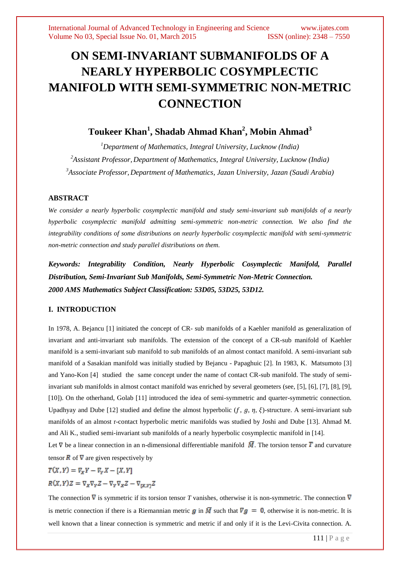# **ON SEMI-INVARIANT SUBMANIFOLDS OF A NEARLY HYPERBOLIC COSYMPLECTIC MANIFOLD WITH SEMI-SYMMETRIC NON-METRIC CONNECTION**

# **Toukeer Khan<sup>1</sup> , Shadab Ahmad Khan<sup>2</sup> , Mobin Ahmad<sup>3</sup>**

*<sup>1</sup>Department of Mathematics, Integral University, Lucknow (India) <sup>2</sup>Assistant Professor, Department of Mathematics, Integral University, Lucknow (India) <sup>3</sup>Associate Professor, Department of Mathematics, Jazan University, Jazan (Saudi Arabia)*

#### **ABSTRACT**

*We consider a nearly hyperbolic cosymplectic manifold and study semi-invariant sub manifolds of a nearly hyperbolic cosymplectic manifold admitting semi-symmetric non-metric connection. We also find the integrability conditions of some distributions on nearly hyperbolic cosymplectic manifold with semi-symmetric non-metric connection and study parallel distributions on them.*

*Keywords: Integrability Condition, Nearly Hyperbolic Cosymplectic Manifold, Parallel Distribution, Semi-Invariant Sub Manifolds, Semi-Symmetric Non-Metric Connection. 2000 AMS Mathematics Subject Classification: 53D05, 53D25, 53D12.*

# **I. INTRODUCTION**

In 1978, A. Bejancu [1] initiated the concept of CR- sub manifolds of a Kaehler manifold as generalization of invariant and anti-invariant sub manifolds. The extension of the concept of a CR-sub manifold of Kaehler manifold is a semi-invariant sub manifold to sub manifolds of an almost contact manifold. A semi-invariant sub manifold of a Sasakian manifold was initially studied by Bejancu - Papaghuic [2]. In 1983, K. Matsumoto [3] and Yano-Kon [4] studied the same concept under the name of contact CR-sub manifold. The study of semiinvariant sub manifolds in almost contact manifold was enriched by several geometers (see, [5], [6], [7], [8], [9], [10]). On the otherhand, Golab [11] introduced the idea of semi-symmetric and quarter-symmetric connection. Upadhyay and Dube [12] studied and define the almost hyperbolic  $(f, g, \eta, \xi)$ -structure. A semi-invariant sub manifolds of an almost r-contact hyperbolic metric manifolds was studied by Joshi and Dube [13]. Ahmad M. and Ali K., studied semi-invariant sub manifolds of a nearly hyperbolic cosymplectic manifold in [14].

Let  $\nabla$  be a linear connection in an n-dimensional differentiable manifold  $\vec{M}$ . The torsion tensor  $\vec{T}$  and curvature tensor  $\overline{R}$  of  $\nabla$  are given respectively by

$$
T(X, Y) = \nabla_X Y - \nabla_Y X - [X, Y]
$$
  

$$
R(X, Y)Z = \nabla_X \nabla_Y Z - \nabla_Y \nabla_X Z - \nabla_{[X, Y]} Z
$$

The connection  $\nabla$  is symmetric if its torsion tensor *T* vanishes, otherwise it is non-symmetric. The connection  $\nabla$ is metric connection if there is a Riemannian metric g in  $\overline{M}$  such that  $\nabla g = 0$ , otherwise it is non-metric. It is well known that a linear connection is symmetric and metric if and only if it is the Levi-Civita connection. A.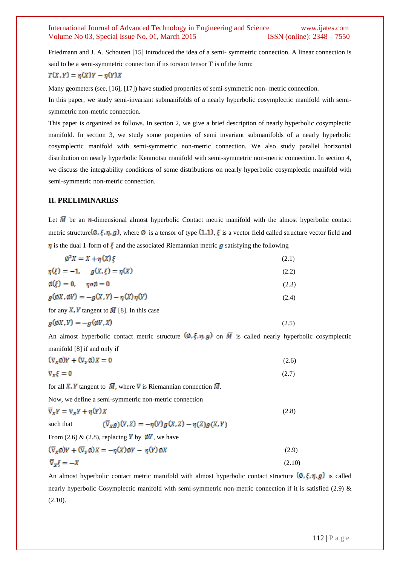Friedmann and J. A. Schouten [15] introduced the idea of a semi- symmetric connection. A linear connection is said to be a semi-symmetric connection if its torsion tensor T is of the form:  $T(X,Y) = \eta(X)Y - \eta(Y)X$ 

Many geometers (see, [16], [17]) have studied properties of semi-symmetric non- metric connection.

In this paper, we study semi-invariant submanifolds of a nearly hyperbolic cosymplectic manifold with semisymmetric non-metric connection.

This paper is organized as follows. In section 2, we give a brief description of nearly hyperbolic cosymplectic manifold. In section 3, we study some properties of semi invariant submanifolds of a nearly hyperbolic cosymplectic manifold with semi-symmetric non-metric connection. We also study parallel horizontal distribution on nearly hyperbolic Kenmotsu manifold with semi-symmetric non-metric connection. In section 4, we discuss the integrability conditions of some distributions on nearly hyperbolic cosymplectic manifold with semi-symmetric non-metric connection.

#### **II. PRELIMINARIES**

Let  $\overline{M}$  be an *n*-dimensional almost hyperbolic Contact metric manifold with the almost hyperbolic contact metric structure  $(\emptyset, \xi, \eta, g)$ , where  $\emptyset$  is a tensor of type  $(1,1)$ ,  $\xi$  is a vector field called structure vector field and  $\eta$  is the dual 1-form of  $\xi$  and the associated Riemannian metric g satisfying the following

| $\phi^2 X = X + \eta(X) \xi$                              | (2.1) |
|-----------------------------------------------------------|-------|
| $\eta(\xi) = -1, \quad g(X, \xi) = \eta(X)$               | (2.2) |
| $\emptyset(\xi) = 0, \quad no\emptyset = 0$               | (2.3) |
| $g(\emptyset X, \emptyset Y) = -g(X, Y) - \eta(X)\eta(Y)$ | (2.4) |
| for any X, Y tangent to $\overline{M}$ [8]. In this case  |       |

$$
g(\emptyset X, Y) = -g(\emptyset Y, X) \tag{2.5}
$$

An almost hyperbolic contact metric structure  $(\emptyset, \xi, \eta, g)$  on  $\overline{M}$  is called nearly hyperbolic cosymplectic manifold [8] if and only if

$$
(\nabla_X \emptyset)Y + (\nabla_Y \emptyset)X = 0
$$
\n<sup>(2.6)</sup>

$$
\nabla_{\mathbf{x}}\xi = \mathbf{0} \tag{2.7}
$$

for all X, Y tangent to  $\overline{M}$ , where  $\nabla$  is Riemannian connection  $\overline{M}$ .

Now, we define a semi-symmetric non-metric connection

$$
\overline{\nabla}_X Y = \nabla_X Y + \eta(Y) X
$$
\nsuch that

\n
$$
(\overline{\nabla}_X g)(Y, Z) = -\eta(Y) g(X, Z) - \eta(Z) g(X, Y)
$$
\nThe equation is

\n
$$
Y = \mathcal{X}^Y
$$
\n
$$
Y = \mathcal{X}^Y
$$
\nwhere

\n
$$
\mathcal{X}^Y = \mathcal{X}^Y
$$
\nwhere

\n
$$
\mathcal{X}^Y = \mathcal{X}^Y
$$
\nwhere

\n
$$
\mathcal{X}^Y = \mathcal{X}^Y
$$
\nwhere

\n
$$
\mathcal{X}^Y = \mathcal{X}^Y
$$
\nwhere

\n
$$
\mathcal{X}^Y = \mathcal{X}^Y
$$
\nwhere

\n
$$
\mathcal{X}^Y = \mathcal{X}^Y
$$
\nwhere

\n
$$
\mathcal{X}^Y = \mathcal{X}^Y
$$
\nwhere

\n
$$
\mathcal{X}^Y = \mathcal{X}^Y
$$
\nwhere

\n
$$
\mathcal{X}^Y = \mathcal{X}^Y
$$
\nwhere

\n
$$
\mathcal{X}^Y = \mathcal{X}^Y
$$
\nwhere

\n
$$
\mathcal{X}^Y = \mathcal{X}^Y
$$
\nwhere

\n
$$
\mathcal{X}^Y = \mathcal{X}^Y
$$
\nwhere

\n
$$
\mathcal{X}^Y = \mathcal{X}^Y
$$
\nwhere

\n
$$
\mathcal{X}^Y = \mathcal{X}^Y
$$
\nwhere

\n
$$
\mathcal{X}^Y = \mathcal{X}^Y
$$
\nwhere

\n
$$
\mathcal{X}^Y = \mathcal{X}^Y
$$
\nwhere

\n
$$
\mathcal{X}^Y = \mathcal{X}^Y
$$
\nwhere

\n
$$
\mathcal{X}^Y = \mathcal{X}^Y
$$
\nwhere

\n
$$
\mathcal{X}^Y = \mathcal{X}^Y
$$
\nwhere

From (2.6) & (2.8), replacing **Y** by  $\emptyset$ **Y**, we have

$$
(\overline{\nabla}_X \emptyset)Y + (\overline{\nabla}_Y \emptyset)X = -\eta(X)\emptyset Y - \eta(Y)\emptyset X
$$
\n
$$
(\overline{\nabla}_X \xi = -X
$$
\n(2.10)

An almost hyperbolic contact metric manifold with almost hyperbolic contact structure  $(\emptyset, \xi, \eta, g)$  is called nearly hyperbolic Cosymplectic manifold with semi-symmetric non-metric connection if it is satisfied (2.9) & (2.10).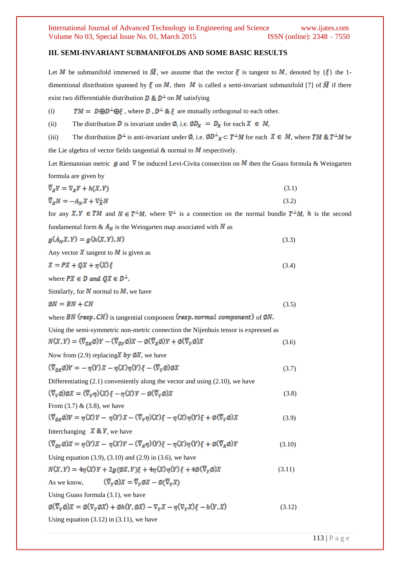#### **III. SEMI-INVARIANT SUBMANIFOLDS AND SOME BASIC RESULTS**

Let M be submanifold immersed in  $\overline{M}$ , we assume that the vector  $\xi$  is tangent to M, denoted by  $\{\xi\}$  the 1dimentional distribution spanned by  $\xi$  on M, then M is called a semi-invariant submanifold [7] of  $\overline{M}$  if there exist two differentiable distribution  $D \& D^{\perp}$  on M satisfying

(i)  $TM = D \oplus D^{\perp} \oplus \xi$ , where  $D, D^{\perp} \& \xi$  are mutually orthogonal to each other.

(ii) The distribution D is invariant under  $\emptyset$ , i.e.  $\emptyset D_x = D_x$  for each  $X \in M$ ,

(iii) The distribution  $D^{\perp}$  is anti-invariant under  $\emptyset$ , i.e.  $\emptyset D^{\perp}{}_{x} \subset T^{\perp}M$  for each  $X \in M$ , where TM &  $T^{\perp}M$  be

the Lie algebra of vector fields tangential  $\&$  normal to  $\bm{M}$  respectively.

Let Riemannian metric g and  $\nabla$  be induced Levi-Civita connection on M then the Guass formula & Weingarten formula are given by

$$
\overline{\nabla}_X Y = \nabla_X Y + h(X, Y) \tag{3.1}
$$

$$
\overline{\nabla}_X N = -A_N X + \nabla_X^{\perp} N \tag{3.2}
$$

for any  $X, Y \in TM$  and  $N \in T^{\perp}M$ , where  $\nabla^{\perp}$  is a connection on the normal bundle  $T^{\perp}M$ , h is the second fundamental form  $\&$   $A_N$  is the Weingarten map associated with  $N$  as

$$
g(A_N X, Y) = g(h(X, Y), N)
$$
\n
$$
(3.3)
$$

Any vector  $\bar{X}$  tangent to  $\bar{M}$  is given as

$$
X = PX + QX + \eta(X)\xi
$$
\n<sup>(3.4)</sup>

where  $PX \in D$  and  $QX \in D^{\perp}$ .

Similarly, for  $N$  normal to  $M$ , we have

$$
\emptyset N = BN + CN \tag{3.5}
$$

where BN (resp.  $CN$ ) is tangential component (resp. normal component) of  $\emptyset N$ .

Using the semi-symmetric non-metric connection the Nijenhuis tensor is expressed as

$$
N(X,Y) = (\nabla_{\phi X} \phi)Y - (\nabla_{\phi Y} \phi)X - \phi(\nabla_X \phi)Y + \phi(\nabla_Y \phi)X
$$
\n(3.6)

Now from (2.9) replacing  $X$  by  $\emptyset X$ , we have

$$
(\overline{\nabla}_{\emptyset X} \emptyset)Y = -\eta(Y)X - \eta(X)\eta(Y)\xi - (\overline{\nabla}_Y \emptyset)\emptyset X
$$
\n(3.7)

Differentiating (2.1) conveniently along the vector and using (2.10), we have

$$
(\overline{\nabla}_{Y}\phi)\phi X = (\overline{\nabla}_{Y}\eta)(X)\xi - \eta(X)Y - \phi(\overline{\nabla}_{Y}\phi)X
$$
\n(3.8)

From  $(3.7) \& (3.8)$ , we have

$$
(\overline{\nabla}_{\emptyset X}\emptyset)Y = \eta(X)Y - \eta(Y)X - (\overline{\nabla}_Y\eta)(X)\xi - \eta(X)\eta(Y)\xi + \varnothing(\overline{\nabla}_Y\varnothing)X
$$
\n(3.9)

Interchanging  $\overline{X} \& Y$  we have

$$
(\overline{\nabla}_{\emptyset Y}\emptyset)X = \eta(Y)X - \eta(X)Y - (\overline{\nabla}_X\eta)(Y)\xi - \eta(X)\eta(Y)\xi + \varnothing(\overline{\nabla}_X\varnothing)Y
$$
\n(3.10)

Using equation  $(3.9)$ ,  $(3.10)$  and  $(2.9)$  in  $(3.6)$ , we have

$$
N(X,Y) = 4\eta(X)Y + 2g(\emptyset X,Y)\xi + 4\eta(X)\eta(Y)\xi + 4\varnothing(\overline{\nabla}_Y\varnothing)X
$$
\n(3.11)

 $(\overline{\nabla}_{\mathbf{v}} \mathcal{Q})X = \overline{\nabla}_{\mathbf{v}} \mathcal{Q}X - \mathcal{Q}(\overline{\nabla}_{\mathbf{v}} X)$ As we know,

Using Guass formula (3.1), we have

 $\emptyset(\overline{\nabla}_Y \emptyset)X = \emptyset(\nabla_Y \emptyset X) + \emptyset h(Y, \emptyset X) - \nabla_Y X - \eta(\nabla_Y X)\xi - h(Y, X)$  (3.12)

Using equation  $(3.12)$  in  $(3.11)$ , we have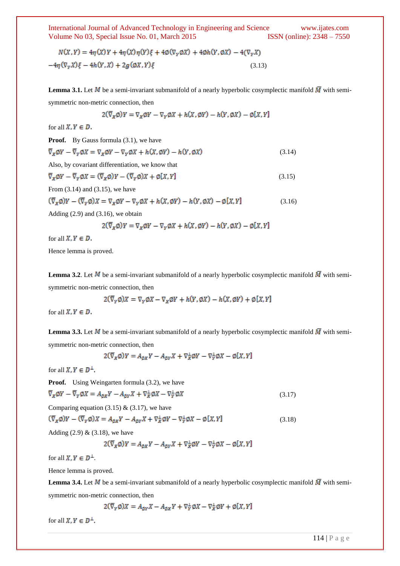$$
N(X,Y) = 4\eta(X)Y + 4\eta(X)\eta(Y)\xi + 4\phi(\nabla_Y\phi X) + 4\phi h(Y,\phi X) - 4(\nabla_Y X) - 4\eta(\nabla_Y X)\xi - 4h(Y,X) + 2g(\phi X,Y)\xi
$$
\n(3.13)

**Lemma 3.1.** Let M be a semi-invariant submanifold of a nearly hyperbolic cosymplectic manifold  $\overline{M}$  with semisymmetric non-metric connection, then

$$
2(\overline{\nabla}_X \varphi)Y = \nabla_X \varphi Y - \nabla_Y \varphi X + h(X, \varphi Y) - h(Y, \varphi X) - \varphi[X, Y]
$$

for all  $X, Y \in D$ .

**Proof.** By Gauss formula (3.1), we have

$$
\overline{\nabla}_X \emptyset Y - \overline{\nabla}_Y \emptyset X = \nabla_X \emptyset Y - \nabla_Y \emptyset X + h(X, \emptyset Y) - h(Y, \emptyset X)
$$
\n(3.14)

Also, by covariant differentiation, we know that

$$
\overline{\nabla}_X \emptyset Y - \overline{\nabla}_Y \emptyset X = (\overline{\nabla}_X \emptyset) Y - (\overline{\nabla}_Y \emptyset) X + \emptyset [X, Y]
$$
\n(3.15)

From (3.14) and (3.15), we have

$$
(\overline{\nabla}_X \emptyset)Y - (\overline{\nabla}_Y \emptyset)X = \nabla_X \emptyset Y - \nabla_Y \emptyset X + h(X, \emptyset Y) - h(Y, \emptyset X) - \emptyset [X, Y]
$$
\n(3.16)

Adding (2.9) and (3.16), we obtain

$$
2(\overline{\nabla}_X \emptyset)Y = \nabla_X \emptyset Y - \nabla_Y \emptyset X + h(X, \emptyset Y) - h(Y, \emptyset X) - \emptyset [X, Y]
$$

for all  $X, Y \in D$ .

Hence lemma is proved.

**Lemma 3.2**. Let M be a semi-invariant submanifold of a nearly hyperbolic cosymplectic manifold  $\overline{M}$  with semisymmetric non-metric connection, then

$$
2(\overline{\nabla}_Y \emptyset)X = \nabla_Y \emptyset X - \nabla_X \emptyset Y + h(Y, \emptyset X) - h(X, \emptyset Y) + \emptyset [X, Y]
$$

for all  $X, Y \in D$ .

**Lemma 3.3.** Let M be a semi-invariant submanifold of a nearly hyperbolic cosymplectic manifold  $\overline{M}$  with semisymmetric non-metric connection, then

$$
2(\overline{\nabla}_X \emptyset)Y = A_{\emptyset X}Y - A_{\emptyset Y}X + \nabla_X^{\perp} \emptyset Y - \nabla_Y^{\perp} \emptyset X - \emptyset [X, Y]
$$

for all  $X, Y \in D^{\perp}$ .

**Proof.** Using Weingarten formula (3.2), we have

$$
\overline{\nabla}_X \mathcal{O}Y - \overline{\nabla}_Y \mathcal{O}X = A_{\mathcal{O}X}Y - A_{\mathcal{O}Y}X + \nabla_X^{\perp} \mathcal{O}X - \nabla_Y^{\perp} \mathcal{O}X \tag{3.17}
$$

Comparing equation (3.15) & (3.17), we have

$$
(\overline{\nabla}_X \emptyset)Y - (\overline{\nabla}_Y \emptyset)X = A_{\emptyset X}Y - A_{\emptyset Y}X + \nabla_X^{\perp} \emptyset Y - \nabla_Y^{\perp} \emptyset X - \emptyset [X, Y] \tag{3.18}
$$

Adding  $(2.9) \& (3.18)$ , we have

$$
2(\overline{\nabla}_X \emptyset)Y = A_{\emptyset X}Y - A_{\emptyset Y}X + \nabla_X^{\perp} \emptyset Y - \nabla_Y^{\perp} \emptyset X - \emptyset [X, Y]
$$

for all  $X, Y \in D^{\perp}$ .

Hence lemma is proved.

**Lemma 3.4.** Let M be a semi-invariant submanifold of a nearly hyperbolic cosymplectic manifold  $\overline{M}$  with semisymmetric non-metric connection, then

$$
2(\overline{\nabla}_{Y}\emptyset)X = A_{\emptyset Y}X - A_{\emptyset X}Y + \nabla_{Y}^{\perp}\emptyset X - \nabla_{X}^{\perp}\emptyset Y + \emptyset[X,Y]
$$

for all  $X, Y \in D^{\perp}$ .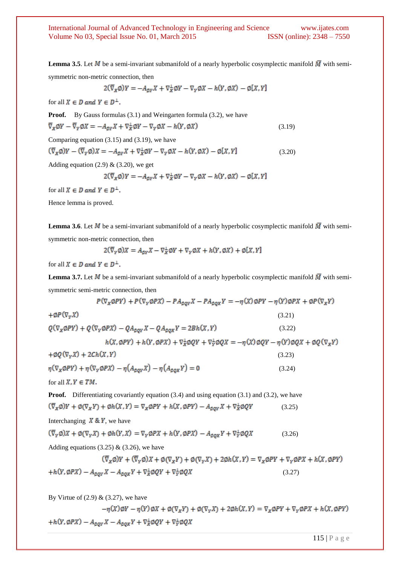**Lemma 3.5**. Let  $M$  be a semi-invariant submanifold of a nearly hyperbolic cosymplectic manifold  $\overline{M}$  with semisymmetric non-metric connection, then

$$
2(\overline{\nabla}_X \emptyset)Y = -A_{\emptyset Y}X + \nabla_X^{\perp} \emptyset Y - \nabla_Y \emptyset X - h(Y, \emptyset X) - \emptyset [X, Y]
$$

for all  $X \in D$  and  $Y \in D^{\perp}$ .

**Proof.** By Gauss formulas (3.1) and Weingarten formula (3.2), we have  $\overline{\nabla}_X \mathcal{O}Y - \overline{\nabla}_Y \mathcal{O}X = -A_{\mathcal{O}Y}X + \nabla_X^{\perp} \mathcal{O}Y - \nabla_Y \mathcal{O}X - h(Y, \mathcal{O}X)$  (3.19)

Comparing equation (3.15) and (3.19), we have

$$
(\overline{\nabla}_X \emptyset)Y - (\overline{\nabla}_Y \emptyset)X = -A_{\emptyset Y}X + \nabla_X^{\perp} \emptyset Y - \nabla_Y \emptyset X - h(Y, \emptyset X) - \emptyset [X, Y]
$$
\n(3.20)

Adding equation (2.9)  $\&$  (3.20), we get

$$
2(\overline{\nabla}_X \emptyset)Y = -A_{\emptyset Y}X + \nabla_X^{\perp} \emptyset Y - \nabla_Y \emptyset X - h(Y, \emptyset X) - \emptyset [X, Y]
$$

for all  $X \in D$  and  $Y \in D^{\perp}$ .

Hence lemma is proved.

**Lemma 3.6**. Let M be a semi-invariant submanifold of a nearly hyperbolic cosymplectic manifold  $\overline{M}$  with semisymmetric non-metric connection, then

$$
2(\overline{\nabla}_{Y}\varnothing)X = A_{\varnothing Y}X - \nabla_X^{\perp}\varnothing Y + \nabla_Y\varnothing X + h(Y, \varnothing X) + \varnothing [X, Y]
$$

for all  $X \in D$  and  $Y \in D^{\perp}$ .

**Lemma 3.7.** Let  $M$  be a semi-invariant submanifold of a nearly hyperbolic cosymplectic manifold  $\overline{M}$  with semisymmetric semi-metric connection, then

Column 1

$$
P(\nabla_X \phi PY) + P(\nabla_Y \phi PX) - PA_{\phi QY}X - PA_{\phi QY}Y = -\eta(X) \phi PY - \eta(Y) \phi PX + \phi P(\nabla_X Y)
$$
\n(3.21)  
\n
$$
Q(\nabla_X \phi PY) + Q(\nabla_Y \phi PX) - QA_{\phi QY}X - QA_{\phi QY}Y = 2Bh(X, Y)
$$
\n(3.22)  
\n
$$
h(X, \phi PY) + h(Y, \phi PX) + \nabla_X^{\perp} \phi QY + \nabla_Y^{\perp} \phi QX = -\eta(X) \phi QY - \eta(Y) \phi QX + \phi Q(\nabla_X Y)
$$
\n+
$$
\phi Q(\nabla_Y X) + 2Ch(X, Y)
$$
\n(3.23)  
\n
$$
\eta(\nabla_X \phi PY) + \eta(\nabla_Y \phi PX) - \eta(A_{\phi QY}X) - \eta(A_{\phi QX}Y) = 0
$$
\n(3.24)  
\nfor all  $X, Y \in TM$ .  
\n**Proof.** Differentiating covariantly equation (3.4) and using equation (3.1) and (3.2), we have  
\n
$$
(\nabla_X \phi)Y + \phi(\nabla_X Y) + \phi h(X, Y) = \nabla_X \phi PY + h(X, \phi PY) - A_{\phi QY}X + \nabla_X^{\perp} \phi QY
$$
\n(3.25)  
\nInterchanging  $X \& Y$ , we have  
\n
$$
(\nabla_Y \phi)X + \phi(\nabla_Y X) + \phi h(Y, X) = \nabla_Y \phi PX + h(Y, \phi PX) - A_{\phi QX}Y + \nabla_Y^{\perp} \phi QX
$$
\n(3.26)  
\nAdding equations (3.25) & (3.26), we have  
\n
$$
(\nabla_X \phi)Y + (\nabla_Y \phi)X + \phi(\nabla_X Y) + \phi(\nabla_Y X) + 2\phi h(X, Y) = \nabla_X \phi PY + \nabla_Y \phi PX + h(X, \phi PY)
$$
\n(3.27)  
\n
$$
By \text{ Virtue of (2.9) & (3.27), we have\n
$$
-\eta(Y) \phi X + \phi(\nabla_X Y) + \phi(\nabla_Y Y) + 2\phi
$$
$$

 $+h(Y,\mathcal{O}PX)-A_{\mathcal{O}QY}X-A_{\mathcal{O}QX}Y+\nabla^{\perp}_X\mathcal{O}QY+\nabla^{\perp}_Y\mathcal{O}QX$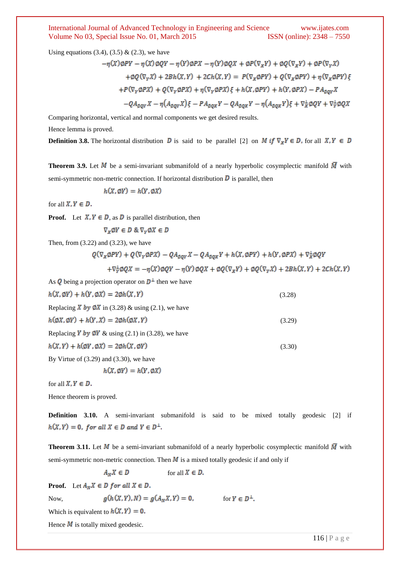Using equations  $(3.4)$ ,  $(3.5)$  &  $(2.3)$ , we have

$$
-\eta(X)\phi PY - \eta(X)\phi QY - \eta(Y)\phi PX - \eta(Y)\phi QX + \phi P(\nabla_X Y) + \phi Q(\nabla_X Y) + \phi P(\nabla_Y X) + \phi Q(\nabla_Y X) + 2Bh(X, Y) + 2Ch(X, Y) = P(\nabla_X \phi PY) + Q(\nabla_X \phi PY) + \eta(\nabla_X \phi PY)\xi + P(\nabla_Y \phi PX) + Q(\nabla_Y \phi PX) + \eta(\nabla_Y \phi PX)\xi + h(X, \phi PY) + h(Y, \phi PX) - PA_{\phi QY}X - QA_{\phi QY}X - \eta(A_{\phi QY}X)\xi - PA_{\phi QX}Y - QA_{\phi QX}Y - \eta(A_{\phi QX}Y)\xi + \nabla_X^{\perp}\phi QY + \nabla_Y^{\perp}\phi QX
$$

Comparing horizontal, vertical and normal components we get desired results.

Hence lemma is proved.

**Definition 3.8.** The horizontal distribution **D** is said to be parallel [2] on M if  $\nabla_X Y \in D$ , for all  $X, Y \in D$ 

**Theorem 3.9.** Let M be a semi-invariant submanifold of a nearly hyperbolic cosymplectic manifold  $\overline{M}$  with semi-symmetric non-metric connection. If horizontal distribution  $\bf{D}$  is parallel, then

$$
h(X, \emptyset Y) = h(Y, \emptyset X)
$$

for all  $X, Y \in D$ .

**Proof.** Let  $X, Y \in D$ , as **D** is parallel distribution, then

$$
\nabla_x \emptyset Y \in D \& \nabla_y \emptyset X \in D
$$

Then, from (3.22) and (3.23), we have

$$
Q(\nabla_X \mathcal{O} PY) + Q(\nabla_Y \mathcal{O} PX) - QA_{\mathcal{O}QY}X - QA_{\mathcal{O}QX}Y + h(X, \mathcal{O} PY) + h(Y, \mathcal{O} PX) + \nabla^{\perp}_X \mathcal{O}QY
$$

$$
+\nabla_Y^{\perp}\varphi QX=-\eta(X)\varphi QY-\eta(Y)\varphi QX+\varphi Q(\nabla_XY)+\varphi Q(\nabla_YX)+2Bh(X,Y)+2Ch(X,Y)
$$

**Service** 

As Q being a projection operator on  $D^{\perp}$  then we have

$$
h(X, \emptyset Y) + h(Y, \emptyset X) = 2\emptyset h(X, Y)
$$
\nReplacing X by  $\emptyset X$  in (3.28) & using (2.1), we have

\n
$$
h(\emptyset X, \emptyset Y) + h(Y, X) = 2\emptyset h(\emptyset X, Y)
$$
\nReplacing Y by  $\emptyset Y$  & using (2.1) in (3.28), we have

\n
$$
h(X, Y) + h(\emptyset Y, \emptyset X) = 2\emptyset h(X, \emptyset Y)
$$
\nBy Virtue of (3.29) and (3.30), we have

\n(3.30)

By Virtue of (3.29) and (3.30), we have

 $h(X, \emptyset Y) = h(Y, \emptyset X)$ 

for all  $X, Y \in D$ .

Hence theorem is proved.

**Definition 3.10.** A semi-invariant submanifold is said to be mixed totally geodesic [2] if  $h(X,Y) = 0$ , for all  $X \in D$  and  $Y \in D^{\perp}$ .

**Theorem 3.11.** Let M be a semi-invariant submanifold of a nearly hyperbolic cosymplectic manifold  $\overline{M}$  with semi-symmetric non-metric connection. Then  $M$  is a mixed totally geodesic if and only if

$$
A_N X \in D \qquad \text{for all } X \in D.
$$

**Proof.** Let  $A_N X \in D$  for all  $X \in D$ .

Now, 
$$
g(h(X,Y),N) = g(A_N X,Y) = 0, \qquad \text{for } Y \in D^{\perp}.
$$

Which is equivalent to  $h(X, Y) = 0$ .

Hence  $\overline{M}$  is totally mixed geodesic.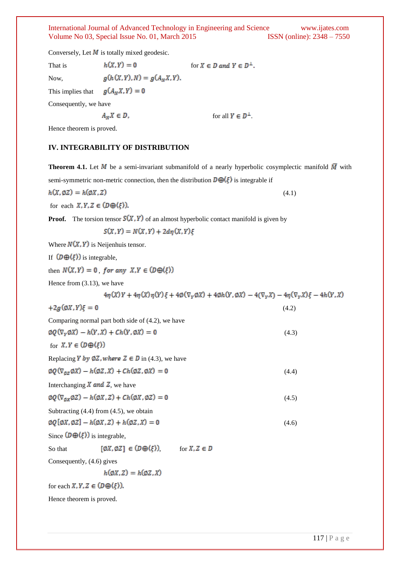Conversely, Let  $M$  is totally mixed geodesic.

Now,

That is  $h(X, Y) = 0$  for  $X \in D$  and  $Y \in D^{\perp}$ .  $g(h(X, Y), N) = g(A_N X, Y).$ 

This implies that  $g(A_nX,Y)=0$ 

Consequently, we have

 $A_n X \in D$ , for all  $Y \in D^{\perp}$ .

Hence theorem is proved.

### **IV. INTEGRABILITY OF DISTRIBUTION**

**Theorem 4.1.** Let M be a semi-invariant submanifold of a nearly hyperbolic cosymplectic manifold  $\overline{M}$  with semi-symmetric non-metric connection, then the distribution  $\mathcal{D}\bigoplus \langle \xi \rangle$  is integrable if

$$
h(X, \emptyset Z) = h(\emptyset X, Z) \tag{4.1}
$$

for each  $X, Y, Z \in (D \oplus \langle \xi \rangle)$ .

**Proof.** The torsion tensor  $S(X, Y)$  of an almost hyperbolic contact manifold is given by

 $S(X,Y) = N(X,Y) + 2d\eta(X,Y)\xi$ 

Where  $N(X, Y)$  is Neijenhuis tensor. If  $(D \oplus \langle \xi \rangle)$  is integrable, then  $N(X, Y) = 0$  for any  $X, Y \in (D \oplus \langle \xi \rangle)$ Hence from (3.13), we have  $4\eta(X)Y + 4\eta(X)\eta(Y)\xi + 4\phi(\nabla_Y\phi X) + 4\phi h(Y,\phi X) - 4(\nabla_Y X) - 4\eta(\nabla_Y X)\xi - 4h(Y,X)$  $(4.2)$ Comparing normal part both side of (4.2), we have  $(4.3)$ for  $X, Y \in (D \oplus \langle \xi \rangle)$ Replacing Y by  $\emptyset$ Z, where  $Z \in D$  in (4.3), we have  $(4.4)$ Interchanging  $\overline{X}$  and  $\overline{Z}$ , we have  $(4.5)$ Subtracting (4.4) from (4.5), we obtain  $(4.6)$ Since  $(D \oplus \langle \xi \rangle)$  is integrable, So that  $[\emptyset X, \emptyset Z] \in (D \oplus \langle \xi \rangle)$ , for  $X, Z \in D$ Consequently, (4.6) gives  $h(\emptyset X,Z) = h(\emptyset Z,X)$ for each  $X, Y, Z \in (D \oplus \langle \xi \rangle)$ .

Hence theorem is proved.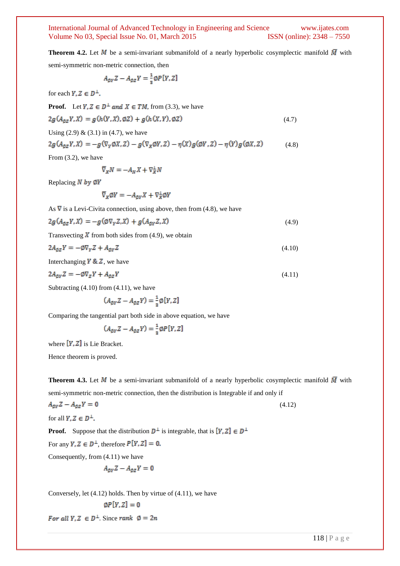**Theorem 4.2.** Let M be a semi-invariant submanifold of a nearly hyperbolic cosymplectic manifold  $\overline{M}$  with

semi-symmetric non-metric connection, then

$$
A_{\emptyset Y}Z - A_{\emptyset Z}Y = \frac{1}{3} \emptyset P[Y, Z]
$$

for each  $Y, Z \in D^{\perp}$ .

**Proof.** Let  $Y, Z \in D^{\perp}$  and  $X \in TM$ , from (3.3), we have and the control of the con- $\mathbf{R}^{(1)}$ 

$$
2g(A_{\emptyset Z}Y, X) = g(h(Y, X), \emptyset Z) + g(h(X, Y), \emptyset Z)
$$
\n(4.7)

Using  $(2.9) \& (3.1)$  in  $(4.7)$ , we have

$$
2g(A_{\emptyset Z}Y,X) = -g(\nabla_Y \emptyset X,Z) - g(\nabla_X \emptyset Y,Z) - \eta(X)g(\emptyset Y,Z) - \eta(Y)g(\emptyset X,Z) \tag{4.8}
$$

From (3.2), we have

$$
\overline{\nabla}_X N = -A_N X + \nabla_X^{\perp} N
$$

Replacing  $N$  by  $\emptyset Y$ 

 $\overline{\nabla}_X \emptyset Y = -A_{\emptyset Y} X + \nabla_X^{\perp} \emptyset Y$ 

As  $\nabla$  is a Levi-Civita connection, using above, then from (4.8), we have

$$
2g(A_{\emptyset Z}Y,X) = -g(\emptyset \nabla_Y Z,X) + g(A_{\emptyset Y}Z,X) \tag{4.9}
$$

Transvecting  $\bar{X}$  from both sides from (4.9), we obtain

$$
2A_{\emptyset Z}Y = -\phi \nabla_y Z + A_{\emptyset Y}Z \tag{4.10}
$$

Interchanging  $\bar{Y}$  &  $\bar{Z}$ , we have

$$
2A_{\emptyset Y}Z = -\emptyset \nabla_Z Y + A_{\emptyset Z}Y \tag{4.11}
$$

Subtracting  $(4.10)$  from  $(4.11)$ , we have

Ć

$$
(A_{\otimes Y}Z - A_{\otimes Z}Y) = \frac{1}{2}\emptyset[Y, Z]
$$

Comparing the tangential part both side in above equation, we have

$$
A_{\otimes Y}Z - A_{\otimes Z}Y = \frac{1}{2}\varphi P[Y, Z]
$$

where  $[Y, Z]$  is Lie Bracket.

Hence theorem is proved.

**Theorem 4.3.** Let M be a semi-invariant submanifold of a nearly hyperbolic cosymplectic manifold  $\overline{M}$  with semi-symmetric non-metric connection, then the distribution is Integrable if and only if

 $(4.12)$ 

for all  $Y, Z \in D^{\perp}$ .

**Proof.** Suppose that the distribution  $D^{\perp}$  is integrable, that is  $[Y, Z] \in D^{\perp}$ 

For any  $Y, Z \in D^{\perp}$ , therefore  $P[Y, Z] = 0$ .

Consequently, from (4.11) we have

$$
A_{\emptyset Y}Z - A_{\emptyset Z}Y = 0
$$

Conversely, let (4.12) holds. Then by virtue of (4.11), we have

$$
\emptyset P[Y,Z]=0
$$

For all  $Y, Z \in D^{\perp}$ . Since rank  $\emptyset = 2n$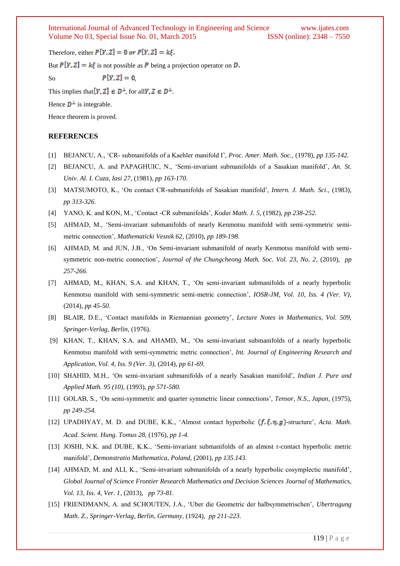Therefore, either  $P[Y, Z] = 0$  or  $P[Y, Z] = k\xi$ .

But  $P[Y, Z] = k\xi$  is not possible as P being a projection operator on D.

So 
$$
P[Y, Z] = 0
$$
,

This implies that  $[Y, Z] \in D^{\perp}$ , for all  $Y, Z \in D^{\perp}$ .

Hence  $\mathbf{D}^{\perp}$  is integrable.

Hence theorem is proved.

# **REFERENCES**

- [1] BEJANCU, A., 'CR- submanifolds of a Kaehler manifold I', *Proc. Amer. Math. Soc.,* (1978), *pp 135-142.*
- [2] BEJANCU, A. and PAPAGHUIC, N., 'Semi-invariant submanifolds of a Sasakian manifold'*, An. St. Univ. Al. I. Cuza, Iasi 27,* (1981), *pp 163-170.*
- [3] MATSUMOTO, K., 'On contact CR-submanifolds of Sasakian manifold', *Intern. J. Math. Sci.,* (1983), *pp 313-326.*
- [4] YANO, K. and KON, M., 'Contact -CR submanifolds', *Kodai Math. J. 5,* (1982), *pp 238-252.*
- [5] AHMAD, M., 'Semi-invariant submanifolds of nearly Kenmotsu manifold with semi-symmetric semimetric connection', *Mathematicki Vesnik 62,* (2010), *pp 189-198.*
- [6] AHMAD, M. and JUN, J.B., 'On Semi-invariant submanifold of nearly Kenmotsu manifold with semisymmetric non-metric connection', Journal of the Chungcheong Math. Soc. Vol. 23, No. 2, (2010), *pp 257-266.*
- [7] AHMAD, M., KHAN, S.A. and KHAN, T., 'On semi-invariant submanifolds of a nearly hyperbolic Kenmotsu manifold with semi-symmetric semi-metric connection', *IOSR-JM, Vol. 10, Iss. 4 (Ver. V),*  (2014), *pp 45-50.*
- [8] BLAIR, D.E., 'Contact manifolds in Riemannian geometry', *Lecture Notes in Mathematics, Vol. 509, Springer-Verlag, Berlin,* (1976).
- [9] KHAN, T., KHAN, S.A. and AHAMD, M., 'On semi-invariant submanifolds of a nearly hyperbolic Kenmotsu manifold with semi-symmetric metric connection', *Int. Journal of Engineering Research and Application, Vol. 4, Iss. 9 (Ver. 3),* (2014), *pp 61-69.*
- [10] SHAHID, M.H., 'On semi-invariant submanifolds of a nearly Sasakian manifold', *Indian J. Pure and Applied Math. 95 (10),* (1993), *pp 571-580.*
- [11] GOLAB, S., 'On semi-symmetric and quarter symmetric linear connections', *Tensor, N.S., Japan,* (1975), *pp 249-254.*
- [12] UPADHYAY, M. D. and DUBE, K.K., 'Almost contact hyperbolic  $(f, \xi, \eta, g)$ -structure', *Acta. Math. Acad. Scient. Hung. Tomus 28,* (1976), *pp 1-4.*
- [13] JOSHI, N.K. and DUBE, K.K., 'Semi-invariant submanifolds of an almost r-contact hyperbolic metric manifold', *Demonstratio Mathematica, Poland,* (2001), *pp 135.143.*
- [14] AHMAD, M. and ALI, K., 'Semi-invariant submanifolds of a nearly hyperbolic cosymplectic manifold', *Global Journal of Science Frontier Research Mathematics and Decision Sciences Journal of Mathematics, Vol. 13, Iss. 4, Ver. 1,* (2013), *pp 73-81.*
- [15] FRIENDMANN, A. and SCHOUTEN, J.A., 'Uber die Geometric der halbsymmetrischen', *Ubertragung Math. Z., Springer-Verlag, Berlin, Germany,* (1924), *pp 211-223.*